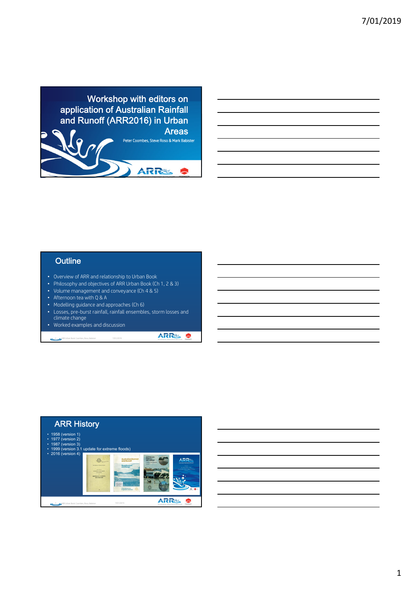

## **Outline**

- Overview of ARR and relationship to Urban Book
- Philosophy and objectives of ARR Urban Book (Ch 1, 2 & 3)
- Volume management and conveyance (Ch 4 & 5)
- Afternoon tea with Q & A
- Modelling guidance and approaches (Ch 6)
- Losses, pre-burst rainfall, rainfall ensembles, storm losses and climate change
- Worked examples and discussion 2 ARR Urban Book: Coombes, Roso, Babister 7/01/2019

ARRS  $\bullet$ 

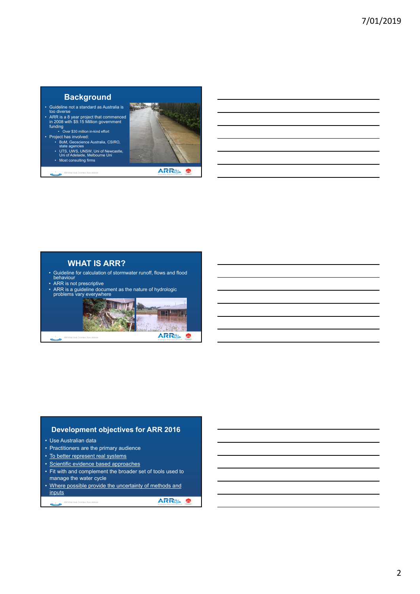## **Background**

- Guideline not a standard as Australia is too diverse
- ARR is a 8 year project that commenced in 2008 with \$9.15 Million government funding Over \$30 million in-kind effort
- 
- Project has involved: BoM, Geoscience Australia, CSIRO, state agencies UTS, UWS, UNSW, Uni of Newcastle, Uni of Adelaide, Melbourne Uni
	- Most consulting firms
	- 3 ARR Urban Book: Coombes, Roso, Babister



**ARRES &** 

## **WHAT IS ARR?**

- Guideline for calculation of stormwater runoff, flows and flood behaviour
- ARR is not prescriptive
- 
- ARR is a guideline document as the nature of hydrologic problems vary everywhere



#### **Development objectives for ARR 2016**

- Use Australian data
- Practitioners are the primary audience
- To better represent real systems
- Scientific evidence based approaches
- Fit with and complement the broader set of tools used to manage the water cycle
- Where possible provide the uncertainty of methods and inputs

**ARRS &** 

```
e ARR Urban Book: Coom
```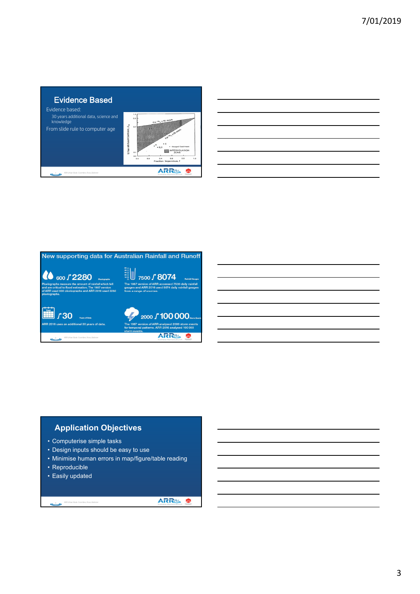

| 600 / 2280                                                                                                                                                                               | $20 -$                                                                                                                                  |
|------------------------------------------------------------------------------------------------------------------------------------------------------------------------------------------|-----------------------------------------------------------------------------------------------------------------------------------------|
| <b>Pluvinoranhe</b>                                                                                                                                                                      | 7500 / 8074<br>$10 -$<br><b>Rainfall Gauges</b>                                                                                         |
| Pluviographs measure the amount of rainfall which fell<br>and are critical to flood estimation. The 1987 version<br>of ARR used 600 pluviographs and ARR 2016 used 2280<br>pluviographs. | The 1987 version of ARR accessed 7500 daily rainfall<br>gauges and ARR 2016 used 8074 daily rainfall gauges<br>from a range of sources. |
| 130<br><b>Cancer of Data</b>                                                                                                                                                             | 2000 / 100 000                                                                                                                          |
| ARR 2016 uses an additional 30 years of data.                                                                                                                                            | The 1987 version of ARR analysed 2000 storm events<br>for temporal patterns. ARR 2016 analysed 100 000<br>storm events.                 |
| ARR Urban Book: Coombes, Roso, Babister<br>$m8$ and                                                                                                                                      |                                                                                                                                         |

## **Application Objectives**

- Computerise simple tasks
- Design inputs should be easy to use
- Minimise human errors in map/figure/table reading
- Reproducible
- Easily updated

9 ARR Urban Book: Coombes, Roso, Babister

**ARRS &**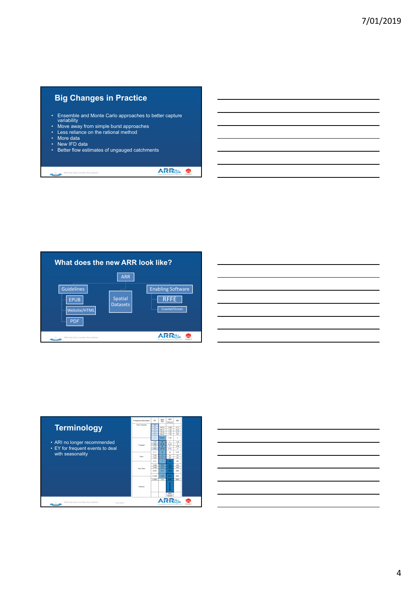# **Big Changes in Practice**

- Ensemble and Monte Carlo approaches to better capture variability
- Move away from simple burst approaches
- Less reliance on the rational method • More data
- New IFD data

ARR Urban Book: Coombes, Roso, Babister

• Better flow estimates of ungauged catchments

**ARRS S** 



|  |                                                                  | <u> 1989 - Johann Barn, mars ann an t-Amhainn an t-Amhainn an t-Amhainn an t-Amhainn an t-Amhainn an t-Amhainn an</u> |  |
|--|------------------------------------------------------------------|-----------------------------------------------------------------------------------------------------------------------|--|
|  |                                                                  |                                                                                                                       |  |
|  |                                                                  | <u> 1989 - Johann Barn, mars ann an t-Amhainn an t-Amhainn an t-Amhainn an t-Amhainn an t-Amhainn an t-Amhainn an</u> |  |
|  |                                                                  | <u> 1989 - Johann Barn, mars et al. 1989 - Anna ann an Carl an Carl ann an t-Aonaichte ann an t-Aonaichte ann an </u> |  |
|  | <u> 1989 - Andrea Stadt Britain, amerikansk politik (* 1958)</u> |                                                                                                                       |  |
|  | <u> 1989 - Andrea Stadt Britain, amerikansk politik (</u>        |                                                                                                                       |  |
|  |                                                                  |                                                                                                                       |  |

|                                                             | <b>Frequency Descriptor</b> | EY                  | AFP<br><b>PSA</b>       | <b>AFP</b><br>$(1 + x)$ | ARI            |  |
|-------------------------------------------------------------|-----------------------------|---------------------|-------------------------|-------------------------|----------------|--|
| <b>Terminology</b>                                          | Very Frequent               | 12                  |                         |                         |                |  |
|                                                             |                             | $\overline{a}$      | 99.75                   | 1.007                   | 0.17           |  |
|                                                             |                             | z                   | 58.17                   | 1.02                    | 0.25           |  |
|                                                             |                             | a<br>$\overline{2}$ | 95.02<br>88.47          | 1.05<br>1.16            | 0.33<br>65     |  |
|                                                             |                             |                     | 63.21                   | 1.58                    | $\overline{1}$ |  |
| • ARI no longer recommended                                 |                             | 0.69                | 50                      | $\overline{ }$          | 1.64           |  |
|                                                             | Frequent                    | 0.5                 | 39.35                   | 2.54                    | $\overline{z}$ |  |
| • EY for frequent events to deal                            |                             | 0.22                | $\overline{\mathbf{z}}$ | τ                       | 4.48           |  |
|                                                             |                             | 02                  | 18.13                   | 5.52                    | ъ              |  |
| with seasonality                                            |                             | 0.11                | 10                      | 10                      | 9.49           |  |
|                                                             | Rare                        | 0.05<br>0.02        | Б<br>Þ                  | $\overline{20}$<br>50   | 20<br>50       |  |
|                                                             |                             |                     |                         |                         |                |  |
|                                                             |                             | 0.01                | ٠                       | 100                     | 100            |  |
|                                                             | Very Rare                   | 0.005               | 0.5                     | 240                     | 200            |  |
|                                                             |                             | 0.002               | $\overline{02}$         | 510                     | 500            |  |
|                                                             |                             | 0.001               | 0.1                     | 1000                    | 1008           |  |
|                                                             |                             | 0.0005              | 0.05                    | 2000                    | 2008           |  |
|                                                             |                             | 0.0002              | 0.02                    | 5000                    | spon           |  |
|                                                             | Fetness                     |                     |                         |                         |                |  |
|                                                             |                             |                     |                         | <b>PMP</b><br>pszpne    |                |  |
| ARR Urban Book: Coombes, Roso, Babister<br>7/01/2019<br>ھتے |                             |                     |                         |                         |                |  |

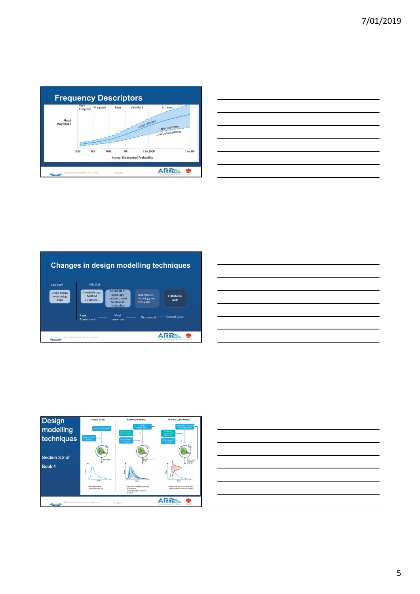

| <u> Listen de la construcción de la construcción de la construcción de la construcción de la construcción de la c</u> |  |  |                               |
|-----------------------------------------------------------------------------------------------------------------------|--|--|-------------------------------|
|                                                                                                                       |  |  |                               |
|                                                                                                                       |  |  |                               |
|                                                                                                                       |  |  | the control of the control of |
|                                                                                                                       |  |  |                               |
| the contract of the contract of the contract of the contract of the contract of                                       |  |  |                               |
|                                                                                                                       |  |  |                               |



| <u> 1989 - Johann Stoff, Amerikaansk politiker (</u>                                                                                                                                                                                 |  |  |
|--------------------------------------------------------------------------------------------------------------------------------------------------------------------------------------------------------------------------------------|--|--|
|                                                                                                                                                                                                                                      |  |  |
|                                                                                                                                                                                                                                      |  |  |
| <u> Andreas Andreas Andreas Andreas Andreas Andreas Andreas Andreas Andreas Andreas Andreas Andreas Andreas Andreas Andreas Andreas Andreas Andreas Andreas Andreas Andreas Andreas Andreas Andreas Andreas Andreas Andreas Andr</u> |  |  |
|                                                                                                                                                                                                                                      |  |  |
|                                                                                                                                                                                                                                      |  |  |
|                                                                                                                                                                                                                                      |  |  |
|                                                                                                                                                                                                                                      |  |  |
|                                                                                                                                                                                                                                      |  |  |



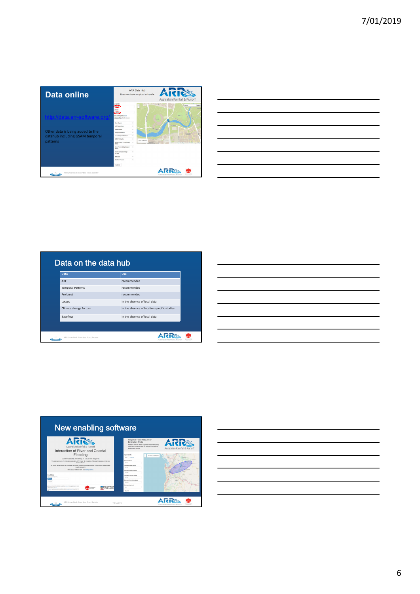$\overline{\phantom{0}}$ 

| <b>Data online</b>                                                                                           | <b>ARR Data Hub</b><br>Aid<br>Enter coordinates or upload a shapefile<br>Australian Rainfall & Runoff                                                                                                                                                                                                                                                                                                                                                                                                                                                                                                                                                                                                                                                                                                                                   |
|--------------------------------------------------------------------------------------------------------------|-----------------------------------------------------------------------------------------------------------------------------------------------------------------------------------------------------------------------------------------------------------------------------------------------------------------------------------------------------------------------------------------------------------------------------------------------------------------------------------------------------------------------------------------------------------------------------------------------------------------------------------------------------------------------------------------------------------------------------------------------------------------------------------------------------------------------------------------|
| ito://data.arr-software.i<br>Other data is being added to the<br>datahub including GSAM temporal<br>patterns | Longitude<br>٠<br><b><i>Administrator</i></b><br><b>Search</b><br>135,500<br>÷<br>Advise<br><b>Affiliate</b><br>-34510<br><b>Union Shandle Clear!</b><br>Ford Cl<br>Choose Files: No file chooses<br><b>Park N</b><br><b>River Region</b><br>$\sim$<br><b>ALCOHOL</b><br>AGE Datamature<br>$\sim$<br><b>PARADORF</b><br><b>Storm Franklin</b><br>$\sim$<br><b>Temporal Patterns</b><br>$\sim$<br><b>TOWERS</b><br><b>Areal Temporal Patterns</b><br>$\overline{u}$<br><b>DOM IFD Deaths</b><br>$\alpha$<br><b>HUTCH SA</b><br>Zoom To Marker<br><b>Realist Plate</b><br>Madian Disburyl Danths and<br>$\sim$<br><b>BY AA Images &amp; Man</b><br>Belira<br>Other Preburat Depths and<br>$\sim$<br><b>Balling</b><br>Interim Climate Change<br>$\sim$<br>Earters<br>Select All<br>$\sim$<br><b>Braziline Cortons</b><br>$\sim$<br>Submit |
| ARR Urban Book: Coombes, Roso, Babister                                                                      | <b>INDUSTRIES</b>                                                                                                                                                                                                                                                                                                                                                                                                                                                                                                                                                                                                                                                                                                                                                                                                                       |

|                                                                                                                      | <u> 1989 - Johann Stoff, deutscher Stoff, der Stoff, der Stoff, der Stoff, der Stoff, der Stoff, der Stoff, der S</u> |  |  |      |
|----------------------------------------------------------------------------------------------------------------------|-----------------------------------------------------------------------------------------------------------------------|--|--|------|
| <u> Alexandro de la contrada de la contrada de la contrada de la contrada de la contrada de la contrada de la co</u> |                                                                                                                       |  |  |      |
|                                                                                                                      |                                                                                                                       |  |  |      |
|                                                                                                                      |                                                                                                                       |  |  |      |
|                                                                                                                      |                                                                                                                       |  |  | ____ |
|                                                                                                                      |                                                                                                                       |  |  |      |
| the contract of the contract of the contract of the contract of                                                      |                                                                                                                       |  |  |      |
|                                                                                                                      |                                                                                                                       |  |  |      |

| Data                     | Use                                         |
|--------------------------|---------------------------------------------|
| ARF                      | recommended                                 |
| <b>Temporal Patterns</b> | recommended                                 |
| Pre burst                | recommended                                 |
| losses                   | In the absence of local data                |
| Climate change factors   | In the absence of location specific studies |
| Baseflow                 | In the absence of local data                |

| ENDINEERS |  |  |  |
|-----------|--|--|--|
|           |  |  |  |
|           |  |  |  |